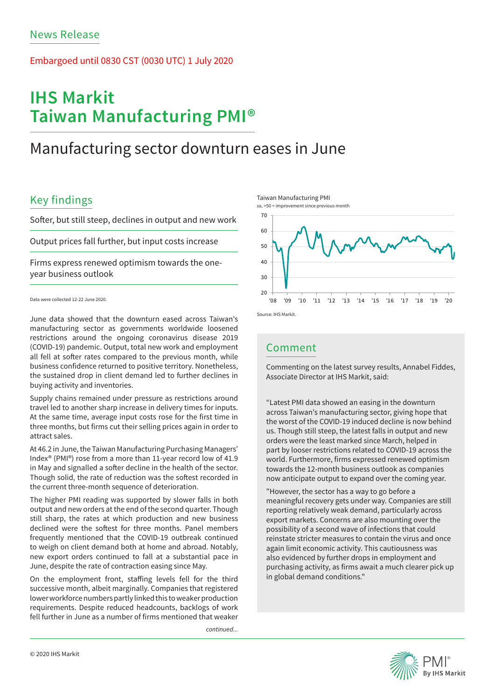### Embargoed until 0830 CST (0030 UTC) 1 July 2020

# **IHS Markit Taiwan Manufacturing PMI®**

## Manufacturing sector downturn eases in June

## Key findings

Softer, but still steep, declines in output and new work

Output prices fall further, but input costs increase

Firms express renewed optimism towards the oneyear business outlook

June data showed that the downturn eased across Taiwan's manufacturing sector as governments worldwide loosened restrictions around the ongoing coronavirus disease 2019 (COVID-19) pandemic. Output, total new work and employment all fell at softer rates compared to the previous month, while business confidence returned to positive territory. Nonetheless, the sustained drop in client demand led to further declines in buying activity and inventories.

Supply chains remained under pressure as restrictions around travel led to another sharp increase in delivery times for inputs. At the same time, average input costs rose for the first time in three months, but firms cut their selling prices again in order to attract sales.

At 46.2 in June, the Taiwan Manufacturing Purchasing Managers' Index® (PMI®) rose from a more than 11-year record low of 41.9 in May and signalled a softer decline in the health of the sector. Though solid, the rate of reduction was the softest recorded in the current three-month sequence of deterioration.

The higher PMI reading was supported by slower falls in both output and new orders at the end of the second quarter. Though still sharp, the rates at which production and new business declined were the softest for three months. Panel members frequently mentioned that the COVID-19 outbreak continued to weigh on client demand both at home and abroad. Notably, new export orders continued to fall at a substantial pace in June, despite the rate of contraction easing since May.

On the employment front, staffing levels fell for the third successive month, albeit marginally. Companies that registered lower workforce numbers partly linked this to weaker production requirements. Despite reduced headcounts, backlogs of work fell further in June as a number of firms mentioned that weaker

*continued...*





### Comment

Commenting on the latest survey results, Annabel Fiddes, Associate Director at IHS Markit, said:

"Latest PMI data showed an easing in the downturn across Taiwan's manufacturing sector, giving hope that the worst of the COVID-19 induced decline is now behind us. Though still steep, the latest falls in output and new orders were the least marked since March, helped in part by looser restrictions related to COVID-19 across the world. Furthermore, firms expressed renewed optimism towards the 12-month business outlook as companies now anticipate output to expand over the coming year.

"However, the sector has a way to go before a meaningful recovery gets under way. Companies are still reporting relatively weak demand, particularly across export markets. Concerns are also mounting over the possibility of a second wave of infections that could reinstate stricter measures to contain the virus and once again limit economic activity. This cautiousness was also evidenced by further drops in employment and purchasing activity, as firms await a much clearer pick up in global demand conditions."



Data were collected 12-22 June 2020.